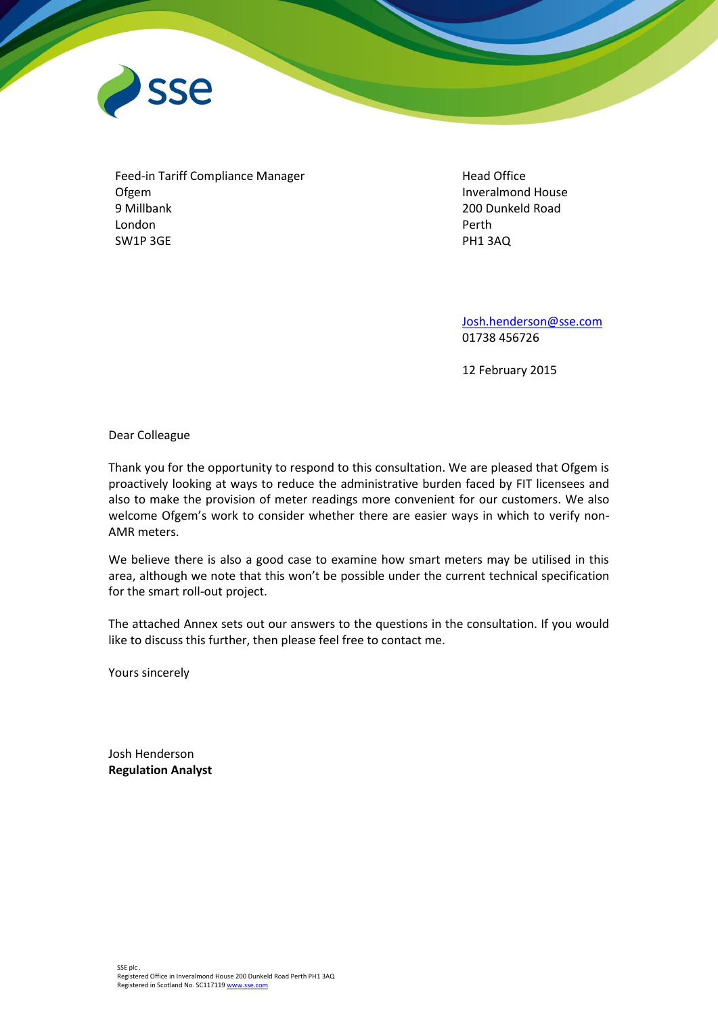

Feed-in Tariff Compliance Manager Ofgem 9 Millbank London SW1P 3GE

Head Office Inveralmond House 200 Dunkeld Road Perth PH1 3AQ

[Josh.henderson@sse.com](mailto:Josh.henderson@sse.com) 01738 456726

12 February 2015

Dear Colleague

Thank you for the opportunity to respond to this consultation. We are pleased that Ofgem is proactively looking at ways to reduce the administrative burden faced by FIT licensees and also to make the provision of meter readings more convenient for our customers. We also welcome Ofgem's work to consider whether there are easier ways in which to verify non-AMR meters.

We believe there is also a good case to examine how smart meters may be utilised in this area, although we note that this won't be possible under the current technical specification for the smart roll-out project.

The attached Annex sets out our answers to the questions in the consultation. If you would like to discuss this further, then please feel free to contact me.

Yours sincerely

Josh Henderson **Regulation Analyst**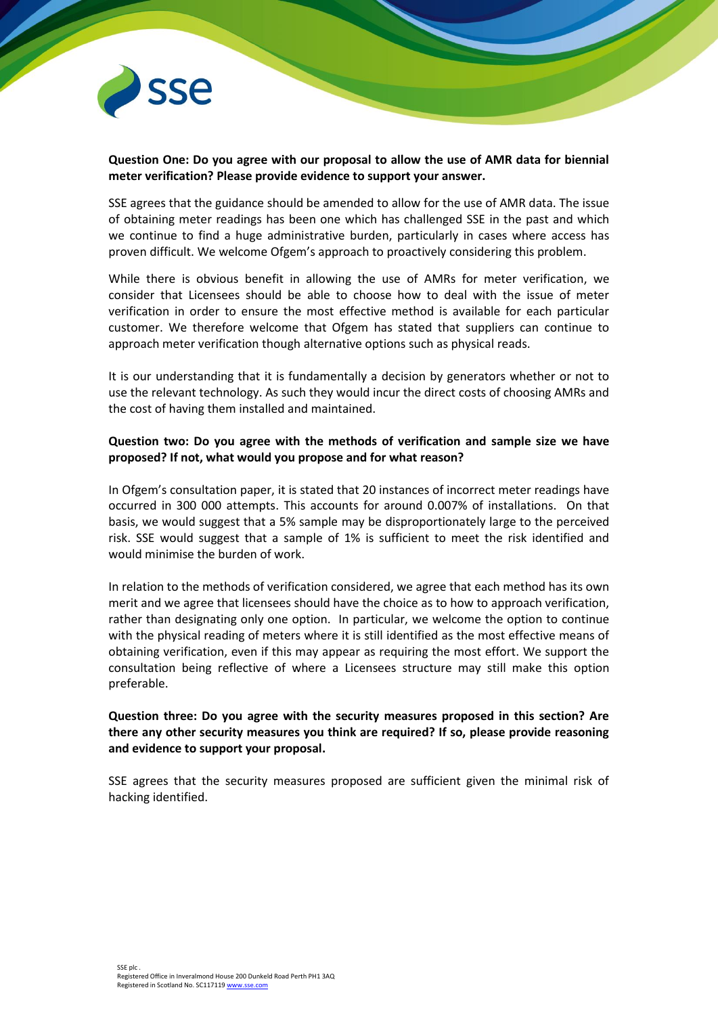

## **Question One: Do you agree with our proposal to allow the use of AMR data for biennial meter verification? Please provide evidence to support your answer.**

SSE agrees that the guidance should be amended to allow for the use of AMR data. The issue of obtaining meter readings has been one which has challenged SSE in the past and which we continue to find a huge administrative burden, particularly in cases where access has proven difficult. We welcome Ofgem's approach to proactively considering this problem.

While there is obvious benefit in allowing the use of AMRs for meter verification, we consider that Licensees should be able to choose how to deal with the issue of meter verification in order to ensure the most effective method is available for each particular customer. We therefore welcome that Ofgem has stated that suppliers can continue to approach meter verification though alternative options such as physical reads.

It is our understanding that it is fundamentally a decision by generators whether or not to use the relevant technology. As such they would incur the direct costs of choosing AMRs and the cost of having them installed and maintained.

## **Question two: Do you agree with the methods of verification and sample size we have proposed? If not, what would you propose and for what reason?**

In Ofgem's consultation paper, it is stated that 20 instances of incorrect meter readings have occurred in 300 000 attempts. This accounts for around 0.007% of installations. On that basis, we would suggest that a 5% sample may be disproportionately large to the perceived risk. SSE would suggest that a sample of 1% is sufficient to meet the risk identified and would minimise the burden of work.

In relation to the methods of verification considered, we agree that each method has its own merit and we agree that licensees should have the choice as to how to approach verification, rather than designating only one option. In particular, we welcome the option to continue with the physical reading of meters where it is still identified as the most effective means of obtaining verification, even if this may appear as requiring the most effort. We support the consultation being reflective of where a Licensees structure may still make this option preferable.

## **Question three: Do you agree with the security measures proposed in this section? Are there any other security measures you think are required? If so, please provide reasoning and evidence to support your proposal.**

SSE agrees that the security measures proposed are sufficient given the minimal risk of hacking identified.